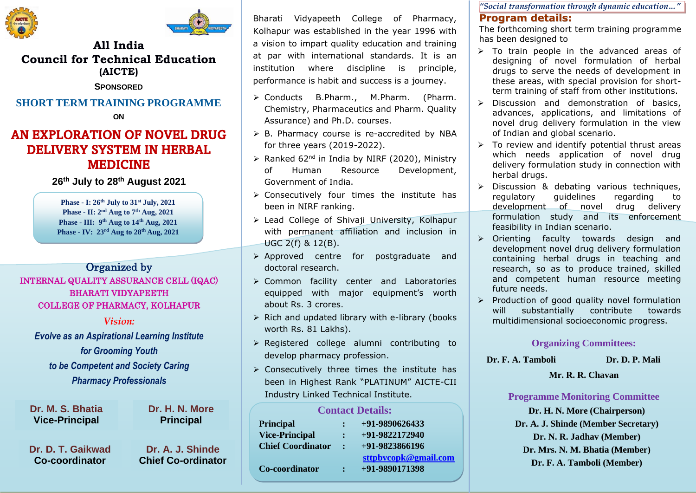



### **All India Council for Technical Education (AICTE)**

**SPONSORED**

# **SHORT TERM TRAINING PROGRAMME**

**ON**

# AN EXPLORATION OF NOVEL DRUG DELIVERY SYSTEM IN HERBAL MEDICINE

**26th July to 28th August 2021**

**Phase - I: 26th July to 31st July, 2021 Phase - II: 2nd Aug to 7th Aug, 2021 Phase - III: 9th Aug to 14th Aug, 2021 Phase - IV: 23rd Aug to 28th Aug, 2021**

Organized by

### INTERNAL QUALITY ASSURANCE CELL (IQAC) BHARATI VIDYAPEETH COLLEGE OF PHARMACY, KOLHAPUR

*Vision:*

*Evolve as an Aspirational Learning Institute for Grooming Youth to be Competent and Society Caring Pharmacy Professionals*

**Dr. M. S. Bhatia Vice-Principal**

**Dr. D. T. Gaikwad Co-coordinator**

**Dr. A. J. Shinde Chief Co-ordinator**

**Dr. H. N. More Principal**

Bharati Vidyapeeth College of Pharmacy, Kolhapur was established in the year 1996 with a vision to impart quality education and training at par with international standards. It is an institution where discipline is principle, performance is habit and success is a journey.

- ➢ Conducts B.Pharm., M.Pharm. (Pharm. Chemistry, Pharmaceutics and Pharm. Quality Assurance) and Ph.D. courses.
- ➢ B. Pharmacy course is re-accredited by NBA for three years (2019-2022).
- $\triangleright$  Ranked 62<sup>nd</sup> in India by NIRF (2020), Ministry of Human Resource Development, Government of India.
- ➢ Consecutively four times the institute has been in NIRF ranking.
- ➢ Lead College of Shivaji University, Kolhapur with permanent affiliation and inclusion in UGC 2(f) & 12(B).
- ➢ Approved centre for postgraduate and doctoral research.
- ➢ Common facility center and Laboratories equipped with major equipment's worth about Rs. 3 crores.
- ➢ Rich and updated library with e-library (books worth Rs. 81 Lakhs).
- ➢ Registered college alumni contributing to develop pharmacy profession.
- $\triangleright$  Consecutively three times the institute has been in Highest Rank "PLATINUM" AICTE-CII Industry Linked Technical Institute.

| <b>Contact Details:</b>  |              |                      |
|--------------------------|--------------|----------------------|
| <b>Principal</b>         |              | +91-9890626433       |
| <b>Vice-Principal</b>    |              | +91-9822172940       |
| <b>Chief Coordinator</b> | $\mathbf{r}$ | $+91-9823866196$     |
|                          |              | sttpbvcopk@gmail.com |
| Co-coordinator           | ÷            | +91-9890171398       |
|                          |              |                      |

**Contact Details:**

*"Social transformation through dynamic education…"*

#### **Program details:**

The forthcoming short term training programme has been designed to

- ➢ To train people in the advanced areas of designing of novel formulation of herbal drugs to serve the needs of development in these areas, with special provision for shortterm training of staff from other institutions.
- ➢ Discussion and demonstration of basics, advances, applications, and limitations of novel drug delivery formulation in the view of Indian and global scenario.
- $\triangleright$  To review and identify potential thrust areas which needs application of novel drug delivery formulation study in connection with herbal drugs.
- ➢ Discussion & debating various techniques, regulatory guidelines regarding to development of novel drug delivery formulation study and its enforcement feasibility in Indian scenario.
- ➢ Orienting faculty towards design and development novel drug delivery formulation containing herbal drugs in teaching and research, so as to produce trained, skilled and competent human resource meeting future needs.
- ➢ Production of good quality novel formulation will substantially contribute towards multidimensional socioeconomic progress.

#### **Organizing Committees:**

**Dr. F. A. Tamboli Dr. D. P. Mali** 

#### **Mr. R. R. Chavan**

#### **Programme Monitoring Committee**

**Dr. H. N. More (Chairperson) Dr. A. J. Shinde (Member Secretary) Dr. N. R. Jadhav (Member) Dr. Mrs. N. M. Bhatia (Member) Dr. F. A. Tamboli (Member)**